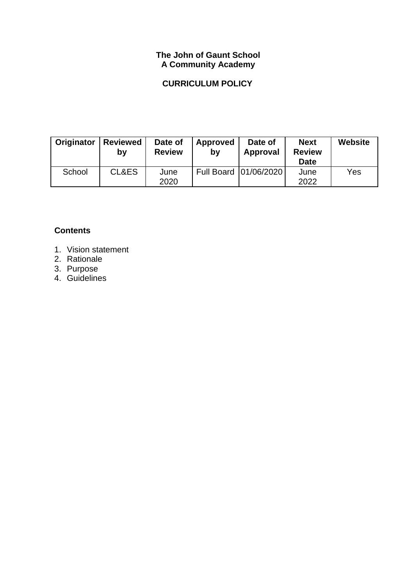## **The John of Gaunt School A Community Academy**

# **CURRICULUM POLICY**

| Originator | <b>Reviewed</b><br>by | Date of<br><b>Review</b> | Approved<br>bv | Date of<br>Approval     | <b>Next</b><br><b>Review</b><br><b>Date</b> | Website |
|------------|-----------------------|--------------------------|----------------|-------------------------|---------------------------------------------|---------|
| School     | CL&ES                 | June<br>2020             |                | Full Board   01/06/2020 | June<br>2022                                | Yes     |

## **Contents**

- 1. Vision statement
- 2. Rationale
- 3. Purpose
- 4. Guidelines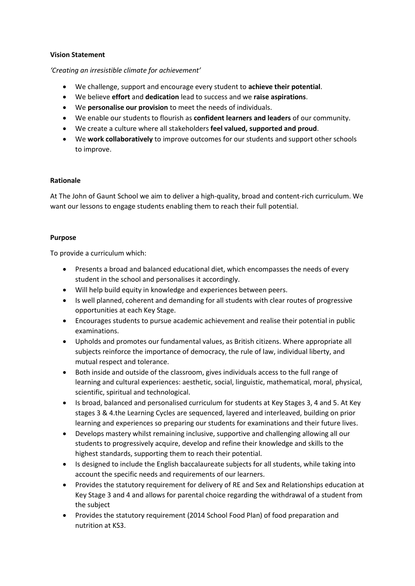#### **Vision Statement**

*'Creating an irresistible climate for achievement'*

- We challenge, support and encourage every student to **achieve their potential**.
- We believe **effort** and **dedication** lead to success and we **raise aspirations**.
- We **personalise our provision** to meet the needs of individuals.
- We enable our students to flourish as **confident learners and leaders** of our community.
- We create a culture where all stakeholders **feel valued, supported and proud**.
- We **work collaboratively** to improve outcomes for our students and support other schools to improve.

#### **Rationale**

At The John of Gaunt School we aim to deliver a high-quality, broad and content-rich curriculum. We want our lessons to engage students enabling them to reach their full potential.

#### **Purpose**

To provide a curriculum which:

- Presents a broad and balanced educational diet, which encompasses the needs of every student in the school and personalises it accordingly.
- Will help build equity in knowledge and experiences between peers.
- Is well planned, coherent and demanding for all students with clear routes of progressive opportunities at each Key Stage.
- Encourages students to pursue academic achievement and realise their potential in public examinations.
- Upholds and promotes our fundamental values, as British citizens. Where appropriate all subjects reinforce the importance of democracy, the rule of law, individual liberty, and mutual respect and tolerance.
- Both inside and outside of the classroom, gives individuals access to the full range of learning and cultural experiences: aesthetic, social, linguistic, mathematical, moral, physical, scientific, spiritual and technological.
- Is broad, balanced and personalised curriculum for students at Key Stages 3, 4 and 5. At Key stages 3 & 4.the Learning Cycles are sequenced, layered and interleaved, building on prior learning and experiences so preparing our students for examinations and their future lives.
- Develops mastery whilst remaining inclusive, supportive and challenging allowing all our students to progressively acquire, develop and refine their knowledge and skills to the highest standards, supporting them to reach their potential.
- Is designed to include the English baccalaureate subjects for all students, while taking into account the specific needs and requirements of our learners.
- Provides the statutory requirement for delivery of RE and Sex and Relationships education at Key Stage 3 and 4 and allows for parental choice regarding the withdrawal of a student from the subject
- Provides the statutory requirement (2014 School Food Plan) of food preparation and nutrition at KS3.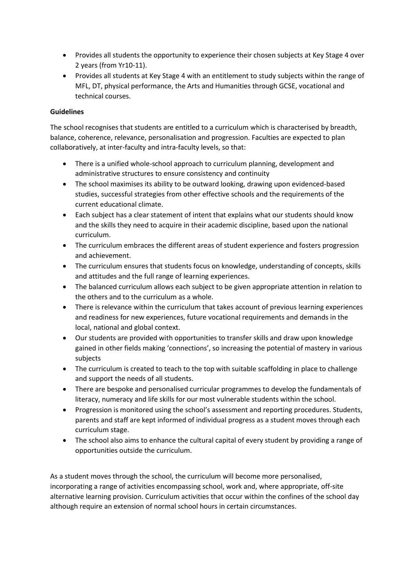- Provides all students the opportunity to experience their chosen subjects at Key Stage 4 over 2 years (from Yr10-11).
- Provides all students at Key Stage 4 with an entitlement to study subjects within the range of MFL, DT, physical performance, the Arts and Humanities through GCSE, vocational and technical courses.

### **Guidelines**

The school recognises that students are entitled to a curriculum which is characterised by breadth, balance, coherence, relevance, personalisation and progression. Faculties are expected to plan collaboratively, at inter-faculty and intra-faculty levels, so that:

- There is a unified whole-school approach to curriculum planning, development and administrative structures to ensure consistency and continuity
- The school maximises its ability to be outward looking, drawing upon evidenced-based studies, successful strategies from other effective schools and the requirements of the current educational climate.
- Each subject has a clear statement of intent that explains what our students should know and the skills they need to acquire in their academic discipline, based upon the national curriculum.
- The curriculum embraces the different areas of student experience and fosters progression and achievement.
- The curriculum ensures that students focus on knowledge, understanding of concepts, skills and attitudes and the full range of learning experiences.
- The balanced curriculum allows each subject to be given appropriate attention in relation to the others and to the curriculum as a whole.
- There is relevance within the curriculum that takes account of previous learning experiences and readiness for new experiences, future vocational requirements and demands in the local, national and global context.
- Our students are provided with opportunities to transfer skills and draw upon knowledge gained in other fields making 'connections', so increasing the potential of mastery in various subjects
- The curriculum is created to teach to the top with suitable scaffolding in place to challenge and support the needs of all students.
- There are bespoke and personalised curricular programmes to develop the fundamentals of literacy, numeracy and life skills for our most vulnerable students within the school.
- Progression is monitored using the school's assessment and reporting procedures. Students, parents and staff are kept informed of individual progress as a student moves through each curriculum stage.
- The school also aims to enhance the cultural capital of every student by providing a range of opportunities outside the curriculum.

As a student moves through the school, the curriculum will become more personalised, incorporating a range of activities encompassing school, work and, where appropriate, off-site alternative learning provision. Curriculum activities that occur within the confines of the school day although require an extension of normal school hours in certain circumstances.